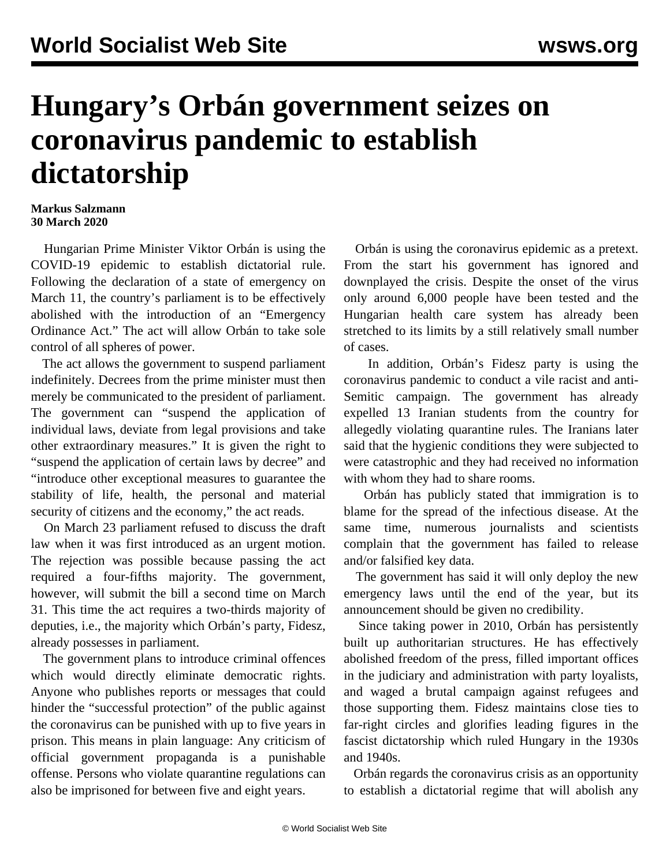## **Hungary's Orbán government seizes on coronavirus pandemic to establish dictatorship**

## **Markus Salzmann 30 March 2020**

 Hungarian Prime Minister Viktor Orbán is using the COVID-19 epidemic to establish dictatorial rule. Following the declaration of a state of emergency on March 11, the country's parliament is to be effectively abolished with the introduction of an "Emergency Ordinance Act." The act will allow Orbán to take sole control of all spheres of power.

 The act allows the government to suspend parliament indefinitely. Decrees from the prime minister must then merely be communicated to the president of parliament. The government can "suspend the application of individual laws, deviate from legal provisions and take other extraordinary measures." It is given the right to "suspend the application of certain laws by decree" and "introduce other exceptional measures to guarantee the stability of life, health, the personal and material security of citizens and the economy," the act reads.

 On March 23 parliament refused to discuss the draft law when it was first introduced as an urgent motion. The rejection was possible because passing the act required a four-fifths majority. The government, however, will submit the bill a second time on March 31. This time the act requires a two-thirds majority of deputies, i.e., the majority which Orbán's party, Fidesz, already possesses in parliament.

 The government plans to introduce criminal offences which would directly eliminate democratic rights. Anyone who publishes reports or messages that could hinder the "successful protection" of the public against the coronavirus can be punished with up to five years in prison. This means in plain language: Any criticism of official government propaganda is a punishable offense. Persons who violate quarantine regulations can also be imprisoned for between five and eight years.

 Orbán is using the coronavirus epidemic as a pretext. From the start his government has ignored and downplayed the crisis. Despite the onset of the virus only around 6,000 people have been tested and the Hungarian health care system has already been stretched to its limits by a still relatively small number of cases.

 In addition, Orbán's Fidesz party is using the coronavirus pandemic to conduct a vile racist and anti-Semitic campaign. The government has already expelled 13 Iranian students from the country for allegedly violating quarantine rules. The Iranians later said that the hygienic conditions they were subjected to were catastrophic and they had received no information with whom they had to share rooms.

 Orbán has publicly stated that immigration is to blame for the spread of the infectious disease. At the same time, numerous journalists and scientists complain that the government has failed to release and/or falsified key data.

 The government has said it will only deploy the new emergency laws until the end of the year, but its announcement should be given no credibility.

 Since taking power in 2010, Orbán has persistently built up authoritarian structures. He has effectively abolished freedom of the press, filled important offices in the judiciary and administration with party loyalists, and waged a brutal campaign against refugees and those supporting them. Fidesz maintains close ties to far-right circles and glorifies leading figures in the fascist dictatorship which ruled Hungary in the 1930s and 1940s.

 Orbán regards the coronavirus crisis as an opportunity to establish a dictatorial regime that will abolish any